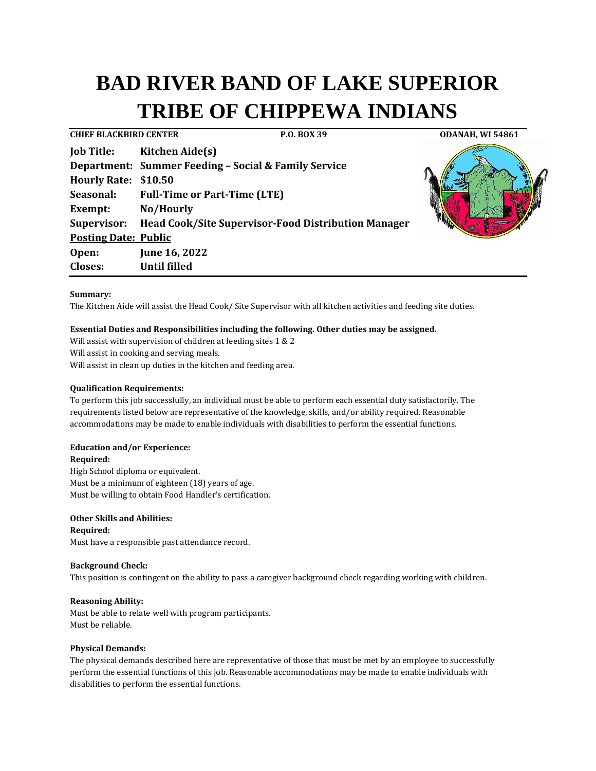# **BAD RIVER BAND OF LAKE SUPERIOR TRIBE OF CHIPPEWA INDIANS**

**CHIEF BLACKBIRD CENTER P.O. BOX 39 ODANAH, WI 54861 Job Title: Kitchen Aide(s) Department: Summer Feeding – Social & Family Service Hourly Rate: \$10.50 Seasonal: Full-Time or Part-Time (LTE) Exempt: No/Hourly Supervisor: Head Cook/Site Supervisor-Food Distribution Manager Posting Date: Public Open: June 16, 2022 Closes: Until filled**

# **Summary:**

The Kitchen Aide will assist the Head Cook/ Site Supervisor with all kitchen activities and feeding site duties.

## **Essential Duties and Responsibilities including the following. Other duties may be assigned.**

Will assist with supervision of children at feeding sites 1 & 2 Will assist in cooking and serving meals. Will assist in clean up duties in the kitchen and feeding area.

### **Qualification Requirements:**

To perform this job successfully, an individual must be able to perform each essential duty satisfactorily. The requirements listed below are representative of the knowledge, skills, and/or ability required. Reasonable accommodations may be made to enable individuals with disabilities to perform the essential functions.

# **Education and/or Experience:**

### **Required:**

High School diploma or equivalent. Must be a minimum of eighteen (18) years of age. Must be willing to obtain Food Handler's certification.

## **Other Skills and Abilities:**

**Required:**

Must have a responsible past attendance record.

# **Background Check:**

This position is contingent on the ability to pass a caregiver background check regarding working with children.

### **Reasoning Ability:**

Must be able to relate well with program participants. Must be reliable.

## **Physical Demands:**

The physical demands described here are representative of those that must be met by an employee to successfully perform the essential functions of this job. Reasonable accommodations may be made to enable individuals with disabilities to perform the essential functions.